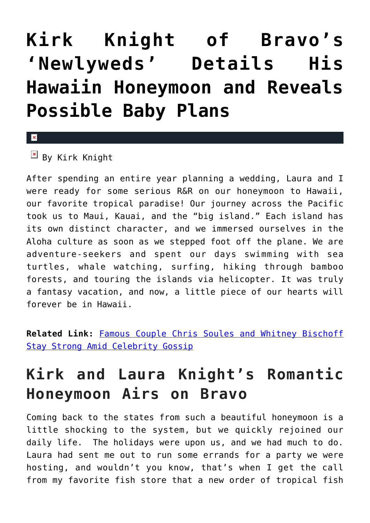## **[Kirk Knight of Bravo's](https://cupidspulse.com/89494/kirk-knight-bravo-newlyweds-honeymoon-baby-plans/) ['Newlyweds' Details His](https://cupidspulse.com/89494/kirk-knight-bravo-newlyweds-honeymoon-baby-plans/) [Hawaiin Honeymoon and Reveals](https://cupidspulse.com/89494/kirk-knight-bravo-newlyweds-honeymoon-baby-plans/) [Possible Baby Plans](https://cupidspulse.com/89494/kirk-knight-bravo-newlyweds-honeymoon-baby-plans/)**

## $\mathbf x$

 $\overline{B}$  By Kirk Knight

After spending an entire year planning a wedding, Laura and I were ready for some serious R&R on our honeymoon to Hawaii, our favorite tropical paradise! Our journey across the Pacific took us to Maui, Kauai, and the "big island." Each island has its own distinct character, and we immersed ourselves in the Aloha culture as soon as we stepped foot off the plane. We are adventure-seekers and spent our days swimming with sea turtles, whale watching, surfing, hiking through bamboo forests, and touring the islands via helicopter. It was truly a fantasy vacation, and now, a little piece of our hearts will forever be in Hawaii.

**Related Link:** [Famous Couple Chris Soules and Whitney Bischoff](http://cupidspulse.com/89410/famous-couple-chris-soules-whitney-bischoff-stay-strong-amid-celebrity-gossip/) [Stay Strong Amid Celebrity Gossip](http://cupidspulse.com/89410/famous-couple-chris-soules-whitney-bischoff-stay-strong-amid-celebrity-gossip/)

## **Kirk and Laura Knight's Romantic Honeymoon Airs on Bravo**

Coming back to the states from such a beautiful honeymoon is a little shocking to the system, but we quickly rejoined our daily life. The holidays were upon us, and we had much to do. Laura had sent me out to run some errands for a party we were hosting, and wouldn't you know, that's when I get the call from my favorite fish store that a new order of tropical fish